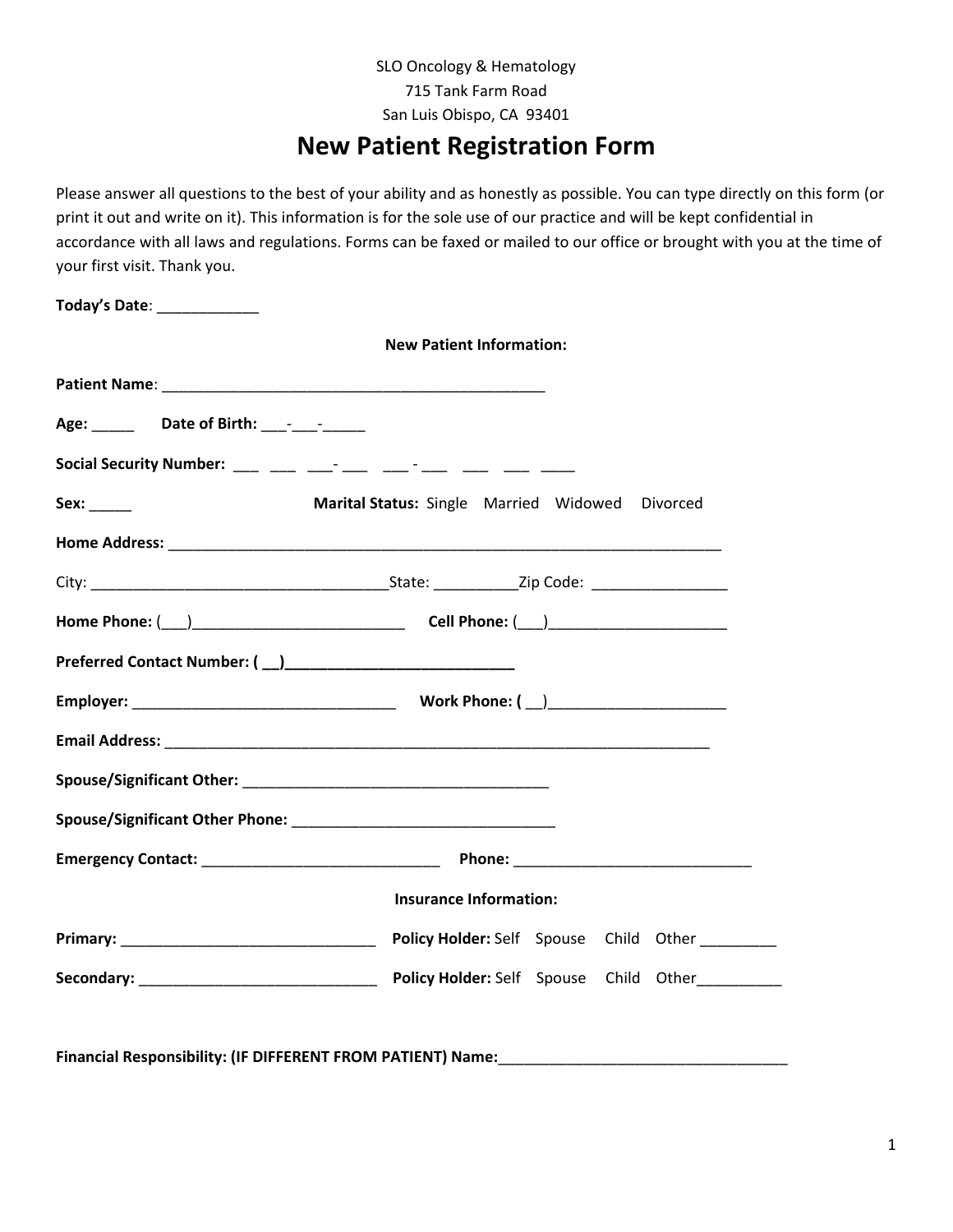SLO Oncology & Hematology 715 Tank Farm Road San Luis Obispo, CA 93401

### **New Patient Registration Form**

Please answer all questions to the best of your ability and as honestly as possible. You can type directly on this form (or print it out and write on it). This information is for the sole use of our practice and will be kept confidential in accordance with all laws and regulations. Forms can be faxed or mailed to our office or brought with you at the time of your first visit. Thank you.

**Today's Date**: \_\_\_\_\_\_\_\_\_\_\_\_ **New Patient Information:** Patient Name: **We are all the set of the set of the set of the set of the set of the set of the set of the set of the set of the set of the set of the set of the set of the set of the set of the set of the set of the set o Age:** \_\_\_\_\_ **Date of Birth:** \_\_\_-\_\_\_-\_\_\_\_\_ **Social Security Number:** \_\_\_ \_\_\_ \_\_\_- \_\_\_ \_\_\_ - \_\_\_ \_\_\_ \_\_\_ \_\_\_\_ **Sex:** \_\_\_\_\_ **Marital Status:** Single Married Widowed Divorced **Home Address:** \_\_\_\_\_\_\_\_\_\_\_\_\_\_\_\_\_\_\_\_\_\_\_\_\_\_\_\_\_\_\_\_\_\_\_\_\_\_\_\_\_\_\_\_\_\_\_\_\_\_\_\_\_\_\_\_\_\_\_\_\_\_\_\_\_ City: \_\_\_\_\_\_\_\_\_\_\_\_\_\_\_\_\_\_\_\_\_\_\_\_\_\_\_\_\_\_\_\_\_\_\_State: \_\_\_\_\_\_\_\_\_\_Zip Code: \_\_\_\_\_\_\_\_\_\_\_\_\_\_\_\_ **Home Phone:** (\_\_\_)\_\_\_\_\_\_\_\_\_\_\_\_\_\_\_\_\_\_\_\_\_\_\_\_\_ **Cell Phone:** (\_\_\_)\_\_\_\_\_\_\_\_\_\_\_\_\_\_\_\_\_\_\_\_\_ **Preferred Contact Number: ( \_\_)\_\_\_\_\_\_\_\_\_\_\_\_\_\_\_\_\_\_\_\_\_\_\_\_\_\_\_ Employer:** \_\_\_\_\_\_\_\_\_\_\_\_\_\_\_\_\_\_\_\_\_\_\_\_\_\_\_\_\_\_\_ **Work Phone: (** \_\_)\_\_\_\_\_\_\_\_\_\_\_\_\_\_\_\_\_\_\_\_\_ **Email Address:** \_\_\_\_\_\_\_\_\_\_\_\_\_\_\_\_\_\_\_\_\_\_\_\_\_\_\_\_\_\_\_\_\_\_\_\_\_\_\_\_\_\_\_\_\_\_\_\_\_\_\_\_\_\_\_\_\_\_\_\_\_\_\_\_ **Spouse/Significant Other:** \_\_\_\_\_\_\_\_\_\_\_\_\_\_\_\_\_\_\_\_\_\_\_\_\_\_\_\_\_\_\_\_\_\_\_\_ Spouse/Significant Other Phone: **Emergency Contact:** \_\_\_\_\_\_\_\_\_\_\_\_\_\_\_\_\_\_\_\_\_\_\_\_\_\_\_\_ **Phone:** \_\_\_\_\_\_\_\_\_\_\_\_\_\_\_\_\_\_\_\_\_\_\_\_\_\_\_\_ **Insurance Information: Primary:** \_\_\_\_\_\_\_\_\_\_\_\_\_\_\_\_\_\_\_\_\_\_\_\_\_\_\_\_\_\_ **Policy Holder:** Self Spouse Child Other \_\_\_\_\_\_\_\_\_ **Secondary:** \_\_\_\_\_\_\_\_\_\_\_\_\_\_\_\_\_\_\_\_\_\_\_\_\_\_\_\_ **Policy Holder:** Self Spouse Child Other\_\_\_\_\_\_\_\_\_\_ **Financial Responsibility: (IF DIFFERENT FROM PATIENT) Name:**\_\_\_\_\_\_\_\_\_\_\_\_\_\_\_\_\_\_\_\_\_\_\_\_\_\_\_\_\_\_\_\_\_\_

1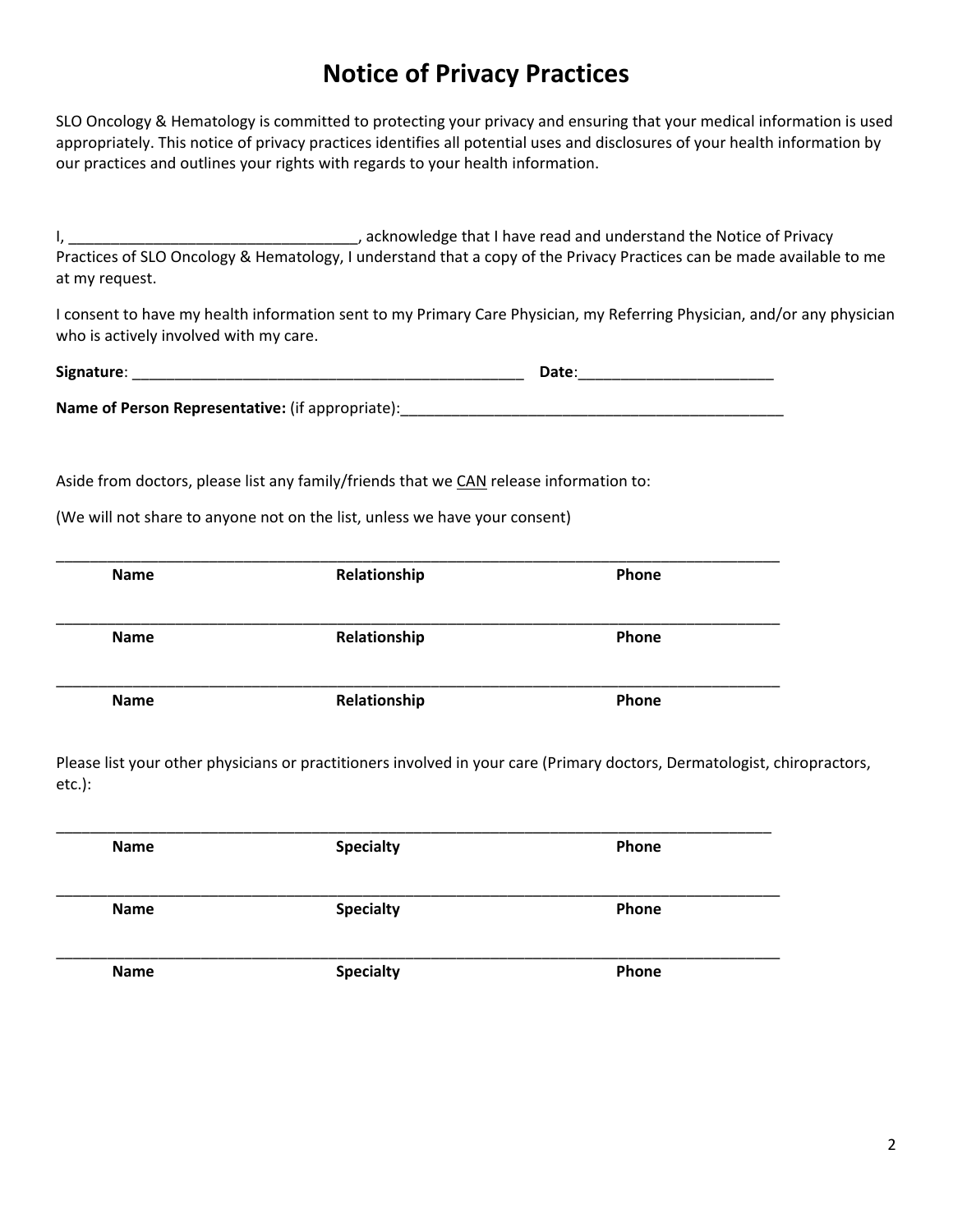### **Notice of Privacy Practices**

SLO Oncology & Hematology is committed to protecting your privacy and ensuring that your medical information is used appropriately. This notice of privacy practices identifies all potential uses and disclosures of your health information by our practices and outlines your rights with regards to your health information.

I, \_\_\_\_\_\_\_\_\_\_\_\_\_\_\_\_\_\_\_\_\_\_\_\_\_\_\_\_\_\_\_\_\_\_, acknowledge that I have read and understand the Notice of Privacy Practices of SLO Oncology & Hematology, I understand that a copy of the Privacy Practices can be made available to me at my request.

I consent to have my health information sent to my Primary Care Physician, my Referring Physician, and/or any physician who is actively involved with my care.

| Signature:                                       | Date: |  |
|--------------------------------------------------|-------|--|
|                                                  |       |  |
| Name of Person Representative: (if appropriate): |       |  |

Aside from doctors, please list any family/friends that we CAN release information to:

(We will not share to anyone not on the list, unless we have your consent)

| Name        | Relationship | Phone |
|-------------|--------------|-------|
| <b>Name</b> | Relationship | Phone |
| Name        | Relationship | Phone |

Please list your other physicians or practitioners involved in your care (Primary doctors, Dermatologist, chiropractors, etc.):

| <b>Name</b> | <b>Specialty</b> | Phone |
|-------------|------------------|-------|
| <b>Name</b> | <b>Specialty</b> | Phone |
| <b>Name</b> | <b>Specialty</b> | Phone |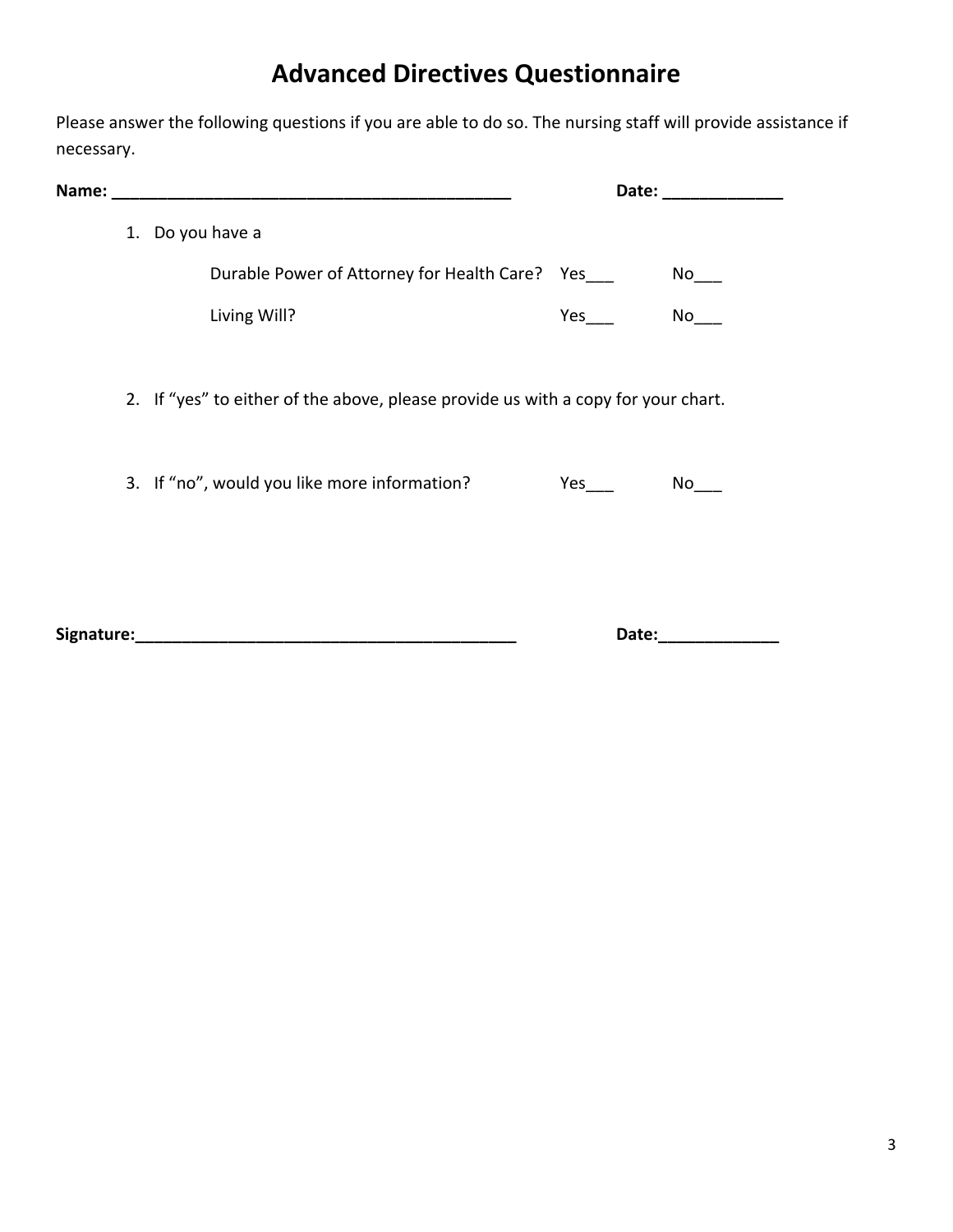## **Advanced Directives Questionnaire**

| Please answer the following questions if you are able to do so. The nursing staff will provide assistance if |  |
|--------------------------------------------------------------------------------------------------------------|--|
| necessary.                                                                                                   |  |

| Name:      |                                                                                   |            | Date: ______________                                                                                                                                                                                                              |
|------------|-----------------------------------------------------------------------------------|------------|-----------------------------------------------------------------------------------------------------------------------------------------------------------------------------------------------------------------------------------|
|            | 1. Do you have a                                                                  |            |                                                                                                                                                                                                                                   |
|            | Durable Power of Attorney for Health Care? Yes                                    |            | No results and the New York of the New York of New York in the New York of New York in the New York of New York in the New York of New York in the New York of New York in the New York o<br>New York of New York in the New York |
|            | Living Will?                                                                      | Yes        | No results and the New York of the New York of the New York of the New York of the New York of the New York of the New York of the New York of the New York of the New York of the New York of the New York of the New York of    |
|            |                                                                                   |            |                                                                                                                                                                                                                                   |
|            | 2. If "yes" to either of the above, please provide us with a copy for your chart. |            |                                                                                                                                                                                                                                   |
|            |                                                                                   |            |                                                                                                                                                                                                                                   |
|            | 3. If "no", would you like more information?                                      | $Yes_{\_}$ | No results and the New York of the New York of the New York of the New York of the New York of the New York of the New York of the New York of the New York of the New York of the New York of the New York of the New York of    |
|            |                                                                                   |            |                                                                                                                                                                                                                                   |
|            |                                                                                   |            |                                                                                                                                                                                                                                   |
| Signature: |                                                                                   | Date:      |                                                                                                                                                                                                                                   |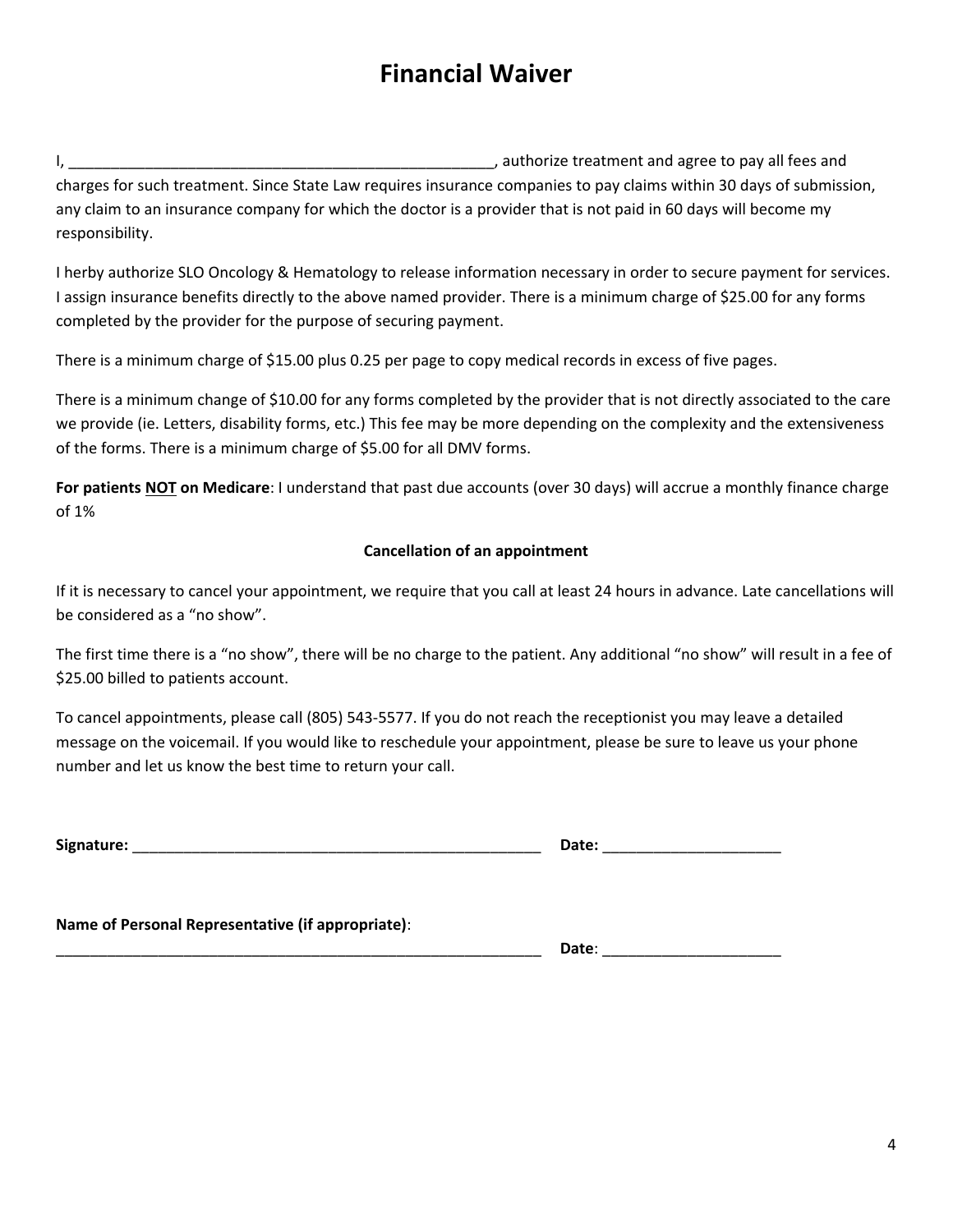### **Financial Waiver**

I, \_\_\_\_\_\_\_\_\_\_\_\_\_\_\_\_\_\_\_\_\_\_\_\_\_\_\_\_\_\_\_\_\_\_\_\_\_\_\_\_\_\_\_\_\_\_\_\_\_\_, authorize treatment and agree to pay all fees and charges for such treatment. Since State Law requires insurance companies to pay claims within 30 days of submission, any claim to an insurance company for which the doctor is a provider that is not paid in 60 days will become my responsibility.

I herby authorize SLO Oncology & Hematology to release information necessary in order to secure payment for services. I assign insurance benefits directly to the above named provider. There is a minimum charge of \$25.00 for any forms completed by the provider for the purpose of securing payment.

There is a minimum charge of \$15.00 plus 0.25 per page to copy medical records in excess of five pages.

There is a minimum change of \$10.00 for any forms completed by the provider that is not directly associated to the care we provide (ie. Letters, disability forms, etc.) This fee may be more depending on the complexity and the extensiveness of the forms. There is a minimum charge of \$5.00 for all DMV forms.

**For patients NOT on Medicare**: I understand that past due accounts (over 30 days) will accrue a monthly finance charge of 1%

#### **Cancellation of an appointment**

If it is necessary to cancel your appointment, we require that you call at least 24 hours in advance. Late cancellations will be considered as a "no show".

The first time there is a "no show", there will be no charge to the patient. Any additional "no show" will result in a fee of \$25.00 billed to patients account.

To cancel appointments, please call (805) 543-5577. If you do not reach the receptionist you may leave a detailed message on the voicemail. If you would like to reschedule your appointment, please be sure to leave us your phone number and let us know the best time to return your call.

**Signature:** \_\_\_\_\_\_\_\_\_\_\_\_\_\_\_\_\_\_\_\_\_\_\_\_\_\_\_\_\_\_\_\_\_\_\_\_\_\_\_\_\_\_\_\_\_\_\_\_ **Date:** \_\_\_\_\_\_\_\_\_\_\_\_\_\_\_\_\_\_\_\_\_

**Name of Personal Representative (if appropriate)**:

| -<br>υaιe. |
|------------|
|            |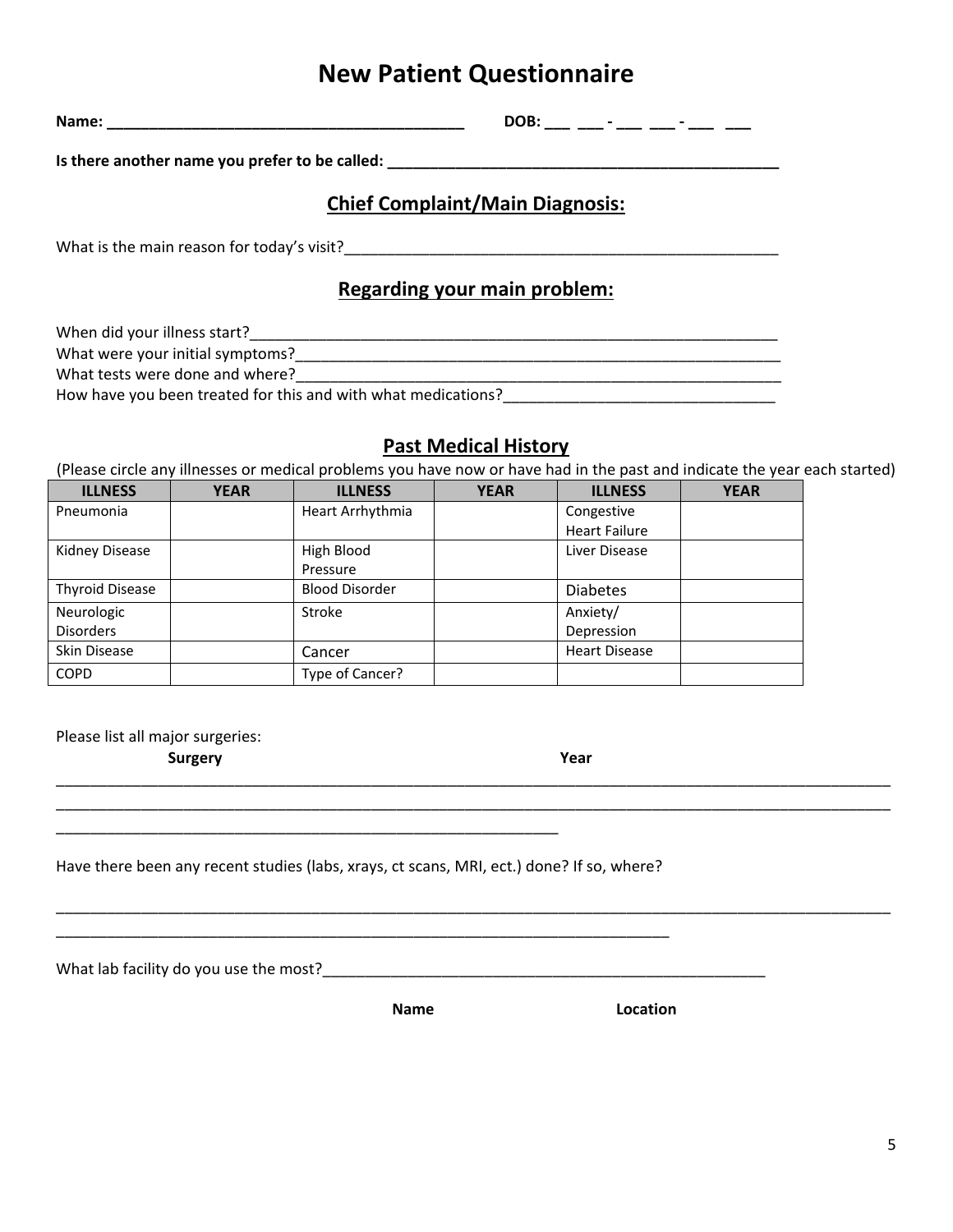### **New Patient Questionnaire**

| Name |     |  | $\overline{\phantom{a}}$ |      |
|------|-----|--|--------------------------|------|
|      | - - |  | ___                      | ____ |

**Is there another name you prefer to be called: \_\_\_\_\_\_\_\_\_\_\_\_\_\_\_\_\_\_\_\_\_\_\_\_\_\_\_\_\_\_\_\_\_\_\_\_\_\_\_\_\_\_\_\_\_\_**

#### **Chief Complaint/Main Diagnosis:**

What is the main reason for today's visit?

#### **Regarding your main problem:**

When did your illness start?\_\_\_\_\_\_\_\_\_\_\_\_\_\_\_\_\_\_\_\_\_\_\_\_\_\_\_\_\_\_\_\_\_\_\_\_\_\_\_\_\_\_\_\_\_\_\_\_\_\_\_\_\_\_\_\_\_\_\_\_\_\_

What were your initial symptoms?\_\_\_\_\_\_\_\_\_\_\_\_\_\_\_\_\_\_\_\_\_\_\_\_\_\_\_\_\_\_\_\_\_\_\_\_\_\_\_\_\_\_\_\_\_\_\_\_\_\_\_\_\_\_\_\_\_

What tests were done and where?\_\_\_\_\_\_\_\_\_\_\_\_\_\_\_\_\_\_\_\_\_\_\_\_\_\_\_\_\_\_\_\_\_\_\_\_\_\_\_\_\_\_\_\_\_\_\_\_\_\_\_\_\_\_\_\_\_

How have you been treated for this and with what medications?\_\_\_\_\_\_\_\_\_\_\_\_\_\_\_\_\_\_\_\_\_\_\_\_\_\_\_\_\_\_\_\_

#### **Past Medical History**

(Please circle any illnesses or medical problems you have now or have had in the past and indicate the year each started)

\_\_\_\_\_\_\_\_\_\_\_\_\_\_\_\_\_\_\_\_\_\_\_\_\_\_\_\_\_\_\_\_\_\_\_\_\_\_\_\_\_\_\_\_\_\_\_\_\_\_\_\_\_\_\_\_\_\_\_\_\_\_\_\_\_\_\_\_\_\_\_\_\_\_\_\_\_\_\_\_\_\_\_\_\_\_\_\_\_\_\_\_\_\_\_\_\_\_ \_\_\_\_\_\_\_\_\_\_\_\_\_\_\_\_\_\_\_\_\_\_\_\_\_\_\_\_\_\_\_\_\_\_\_\_\_\_\_\_\_\_\_\_\_\_\_\_\_\_\_\_\_\_\_\_\_\_\_\_\_\_\_\_\_\_\_\_\_\_\_\_\_\_\_\_\_\_\_\_\_\_\_\_\_\_\_\_\_\_\_\_\_\_\_\_\_\_

\_\_\_\_\_\_\_\_\_\_\_\_\_\_\_\_\_\_\_\_\_\_\_\_\_\_\_\_\_\_\_\_\_\_\_\_\_\_\_\_\_\_\_\_\_\_\_\_\_\_\_\_\_\_\_\_\_\_\_\_\_\_\_\_\_\_\_\_\_\_\_\_\_\_\_\_\_\_\_\_\_\_\_\_\_\_\_\_\_\_\_\_\_\_\_\_\_\_

| <b>ILLNESS</b>         | <b>YEAR</b> | <b>ILLNESS</b>        | <b>YEAR</b> | <b>ILLNESS</b>       | <b>YEAR</b> |
|------------------------|-------------|-----------------------|-------------|----------------------|-------------|
| Pneumonia              |             | Heart Arrhythmia      |             | Congestive           |             |
|                        |             |                       |             | <b>Heart Failure</b> |             |
| Kidney Disease         |             | High Blood            |             | Liver Disease        |             |
|                        |             | Pressure              |             |                      |             |
| <b>Thyroid Disease</b> |             | <b>Blood Disorder</b> |             | <b>Diabetes</b>      |             |
| Neurologic             |             | Stroke                |             | Anxiety/             |             |
| <b>Disorders</b>       |             |                       |             | Depression           |             |
| Skin Disease           |             | Cancer                |             | <b>Heart Disease</b> |             |
| <b>COPD</b>            |             | Type of Cancer?       |             |                      |             |

Please list all major surgeries:

**Surgery Year**

Have there been any recent studies (labs, xrays, ct scans, MRI, ect.) done? If so, where?

\_\_\_\_\_\_\_\_\_\_\_\_\_\_\_\_\_\_\_\_\_\_\_\_\_\_\_\_\_\_\_\_\_\_\_\_\_\_\_\_\_\_\_\_\_\_\_\_\_\_\_\_\_\_\_\_\_\_\_\_\_\_\_\_\_\_\_\_\_\_\_\_

\_\_\_\_\_\_\_\_\_\_\_\_\_\_\_\_\_\_\_\_\_\_\_\_\_\_\_\_\_\_\_\_\_\_\_\_\_\_\_\_\_\_\_\_\_\_\_\_\_\_\_\_\_\_\_\_\_\_\_

What lab facility do you use the most?\_\_\_\_\_\_\_\_\_\_\_\_\_\_\_\_\_\_\_\_\_\_\_\_\_\_\_\_\_\_\_\_\_\_\_\_\_\_\_\_\_\_\_\_\_\_\_\_\_\_\_\_

**Name Location**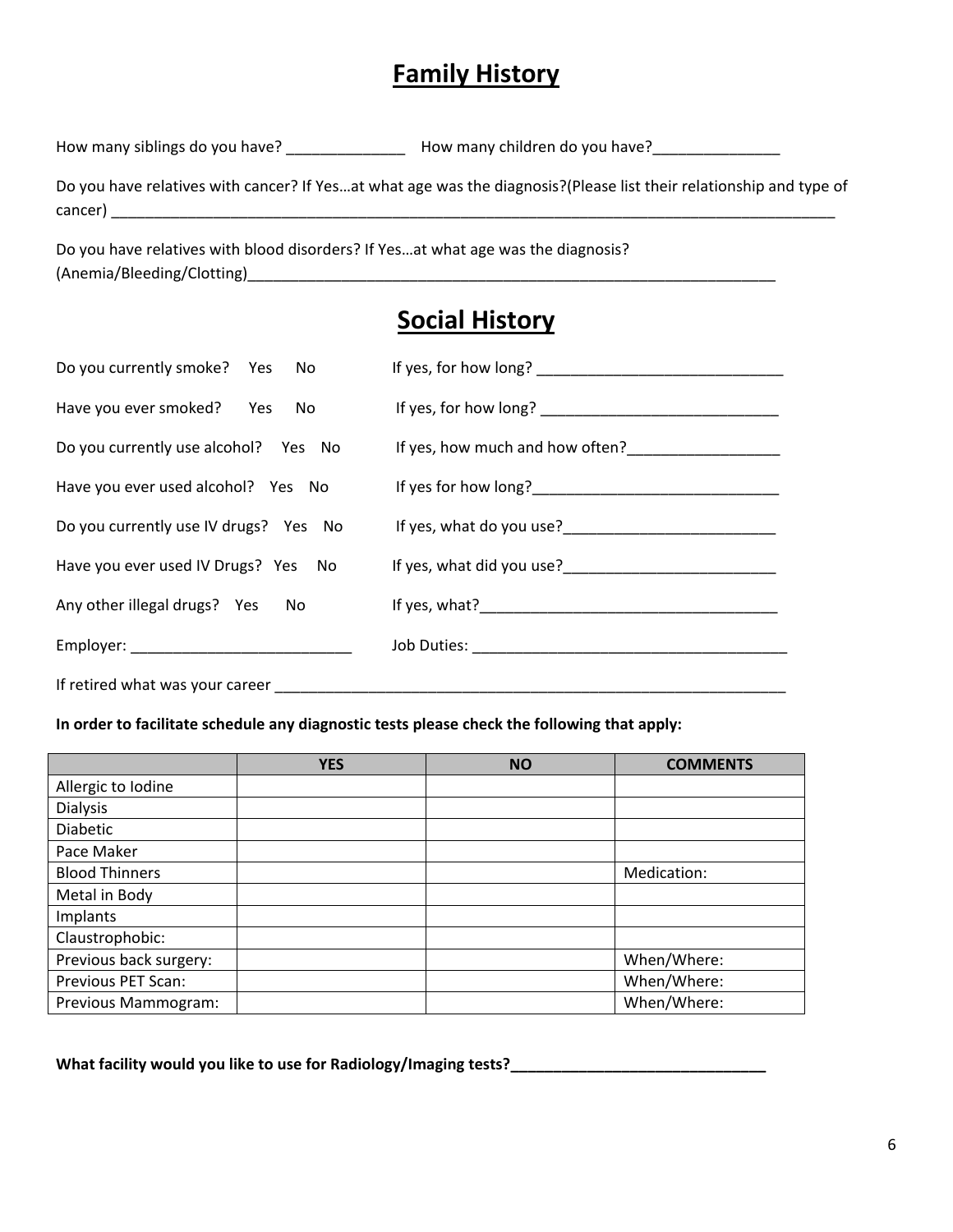### **Family History**

How many siblings do you have? \_\_\_\_\_\_\_\_\_\_\_\_\_\_\_\_\_\_\_ How many children do you have? \_\_\_\_\_\_\_\_\_\_\_\_\_\_\_\_\_

| Do you have relatives with cancer? If Yesat what age was the diagnosis?(Please list their relationship and type of |  |
|--------------------------------------------------------------------------------------------------------------------|--|
| cancer)                                                                                                            |  |

Do you have relatives with blood disorders? If Yes…at what age was the diagnosis? (Anemia/Bleeding/Clotting)\_\_\_\_\_\_\_\_\_\_\_\_\_\_\_\_\_\_\_\_\_\_\_\_\_\_\_\_\_\_\_\_\_\_\_\_\_\_\_\_\_\_\_\_\_\_\_\_\_\_\_\_\_\_\_\_\_\_\_\_\_\_

### **Social History**

| Do you currently smoke? Yes No             |                                                                                                                                                                                                                               |
|--------------------------------------------|-------------------------------------------------------------------------------------------------------------------------------------------------------------------------------------------------------------------------------|
| Have you ever smoked? Yes No               |                                                                                                                                                                                                                               |
| Do you currently use alcohol? Yes No       | If yes, how much and how often?                                                                                                                                                                                               |
| Have you ever used alcohol? Yes No         |                                                                                                                                                                                                                               |
| Do you currently use IV drugs? Yes No      |                                                                                                                                                                                                                               |
| Have you ever used IV Drugs? Yes No        |                                                                                                                                                                                                                               |
| Any other illegal drugs? Yes No            | If yes, what? The contract of the contract of the contract of the contract of the contract of the contract of the contract of the contract of the contract of the contract of the contract of the contract of the contract of |
| Employer: ________________________________ |                                                                                                                                                                                                                               |
| If retired what was your career            |                                                                                                                                                                                                                               |

#### **In order to facilitate schedule any diagnostic tests please check the following that apply:**

|                        | <b>YES</b> | <b>NO</b> | <b>COMMENTS</b> |
|------------------------|------------|-----------|-----------------|
| Allergic to Iodine     |            |           |                 |
| <b>Dialysis</b>        |            |           |                 |
| <b>Diabetic</b>        |            |           |                 |
| Pace Maker             |            |           |                 |
| <b>Blood Thinners</b>  |            |           | Medication:     |
| Metal in Body          |            |           |                 |
| Implants               |            |           |                 |
| Claustrophobic:        |            |           |                 |
| Previous back surgery: |            |           | When/Where:     |
| Previous PET Scan:     |            |           | When/Where:     |
| Previous Mammogram:    |            |           | When/Where:     |

What facility would you like to use for Radiology/Imaging tests?\_\_\_\_\_\_\_\_\_\_\_\_\_\_\_\_\_\_\_\_\_\_\_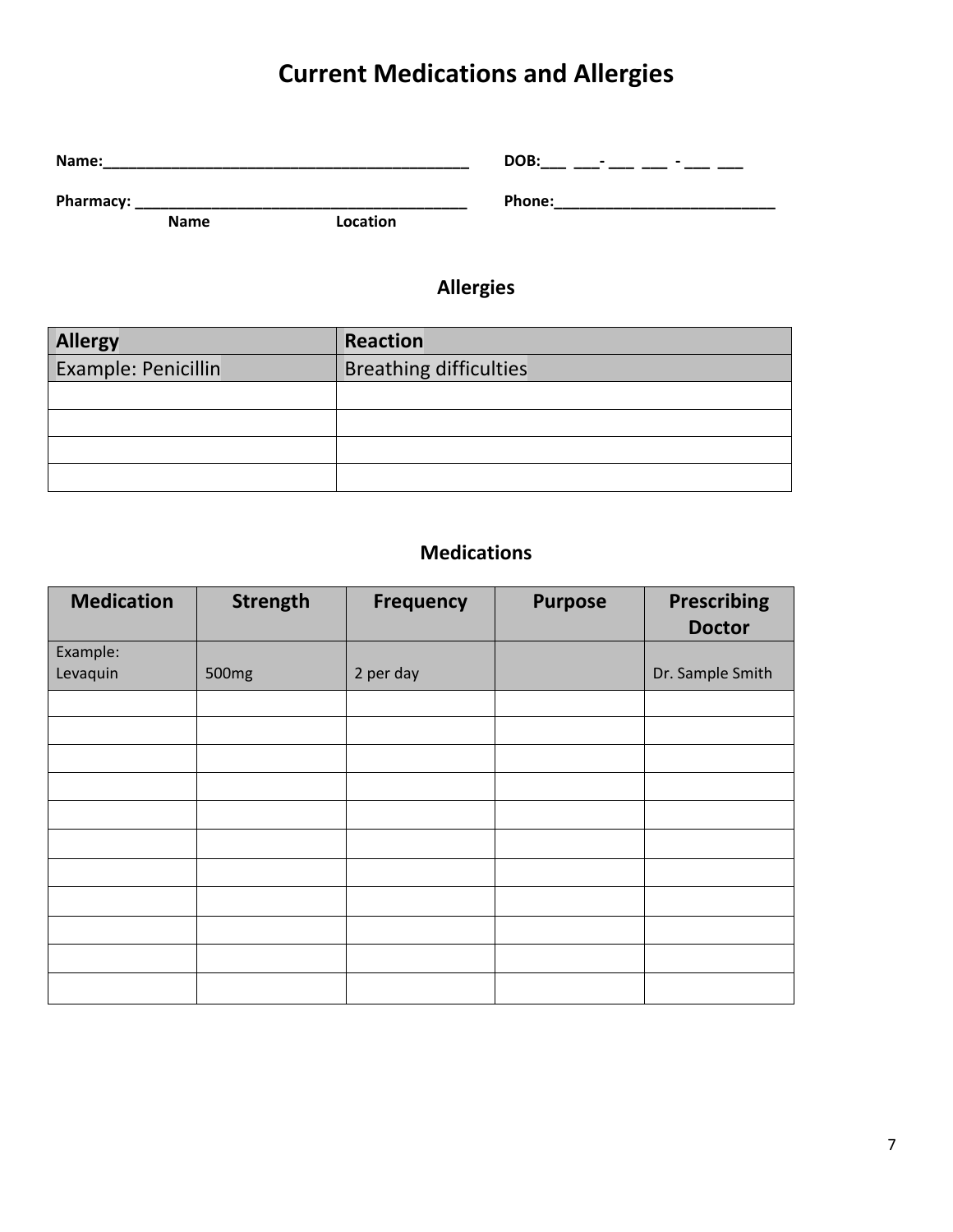## **Current Medications and Allergies**

| Name:     |             |          | DOB:<br>$\overline{\phantom{0}}$<br>$\overline{\phantom{0}}$ |
|-----------|-------------|----------|--------------------------------------------------------------|
| Pharmacy: |             |          | Phone:                                                       |
|           | <b>Name</b> | Location |                                                              |

### **Allergies**

| <b>Allergy</b>      | <b>Reaction</b>               |
|---------------------|-------------------------------|
| Example: Penicillin | <b>Breathing difficulties</b> |
|                     |                               |
|                     |                               |
|                     |                               |
|                     |                               |

### **Medications**

| <b>Medication</b> | <b>Strength</b>   | <b>Frequency</b> | <b>Purpose</b> | <b>Prescribing</b><br><b>Doctor</b> |
|-------------------|-------------------|------------------|----------------|-------------------------------------|
| Example:          |                   |                  |                |                                     |
| Levaquin          | 500 <sub>mg</sub> | 2 per day        |                | Dr. Sample Smith                    |
|                   |                   |                  |                |                                     |
|                   |                   |                  |                |                                     |
|                   |                   |                  |                |                                     |
|                   |                   |                  |                |                                     |
|                   |                   |                  |                |                                     |
|                   |                   |                  |                |                                     |
|                   |                   |                  |                |                                     |
|                   |                   |                  |                |                                     |
|                   |                   |                  |                |                                     |
|                   |                   |                  |                |                                     |
|                   |                   |                  |                |                                     |